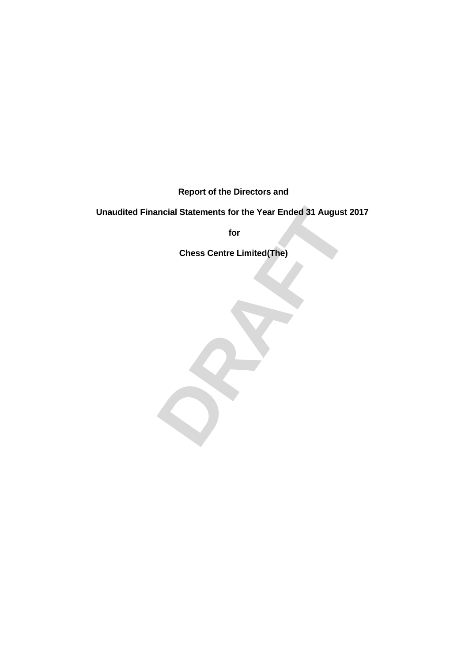**Report of the Directors and**

# Fractional Statements for the Year Ended 31 August 2017<br>for<br>Chess Centre Limited(The)<br>**DRAFT Unaudited Financial Statements for the Year Ended 31 August 2017**

**for**

**Chess Centre Limited(The)**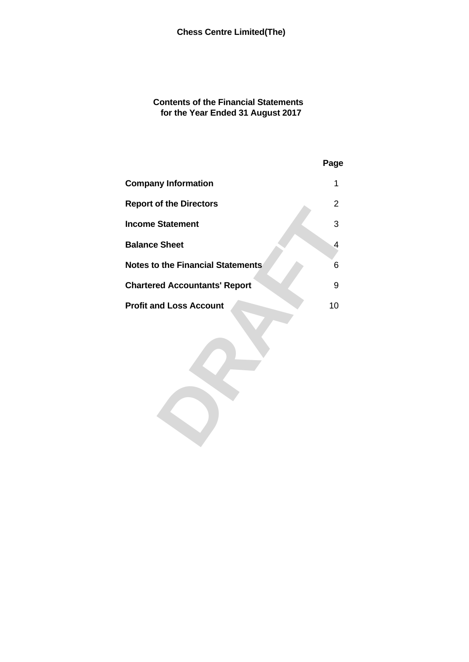# **Contents of the Financial Statements for the Year Ended 31 August 2017**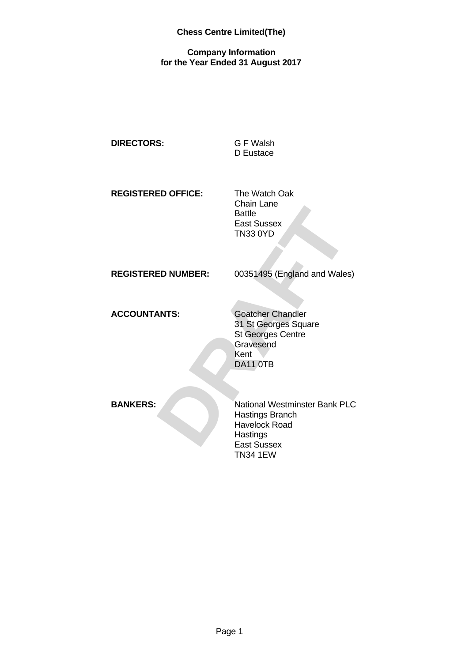# **Company Information for the Year Ended 31 August 2017**

| <b>DIRECTORS:</b>         | <b>GF</b> Walsh<br>D Eustace                                                                                      |
|---------------------------|-------------------------------------------------------------------------------------------------------------------|
| <b>REGISTERED OFFICE:</b> | The Watch Oak<br><b>Chain Lane</b><br><b>Battle</b><br>East Sussex<br><b>TN33 0YD</b>                             |
| <b>REGISTERED NUMBER:</b> | 00351495 (England and Wales)                                                                                      |
| <b>ACCOUNTANTS:</b>       | <b>Goatcher Chandler</b><br>31 St Georges Square<br>St Georges Centre<br>Gravesend<br>Kent<br>DA11 OTB            |
| <b>BANKERS:</b>           | National Westminster Bank PLC<br><b>Hastings Branch</b><br><b>Havelock Road</b><br>Hastings<br><b>Fast Sussex</b> |

Hastings East Sussex TN34 1EW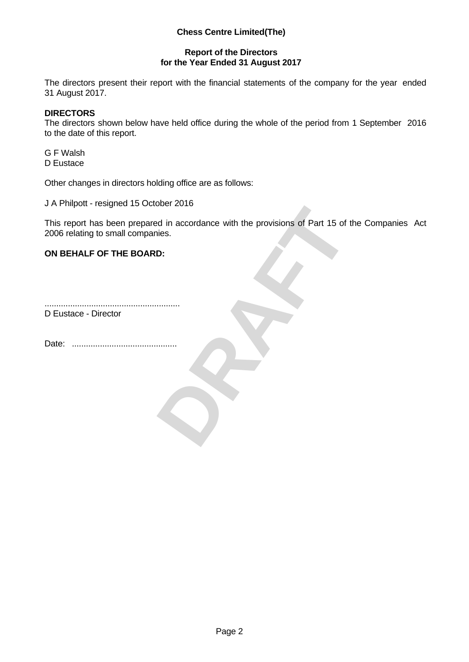# **Report of the Directors for the Year Ended 31 August 2017**

The directors present their report with the financial statements of the company for the year ended 31 August 2017.

## **DIRECTORS**

The directors shown below have held office during the whole of the period from 1 September 2016 to the date of this report.

G F Walsh D Eustace

Other changes in directors holding office are as follows:

J A Philpott - resigned 15 October 2016

**DRAFT** This report has been prepared in accordance with the provisions of Part 15 of the Companies Act 2006 relating to small companies.

# **ON BEHALF OF THE BOARD:**

.......................................................... D Eustace - Director

Date: .............................................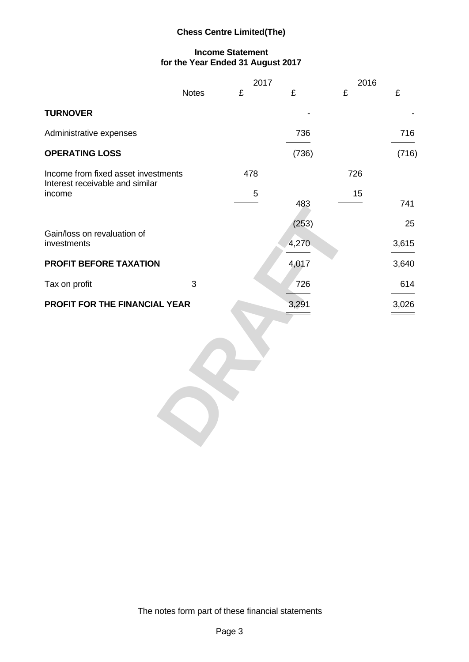# **Income Statement for the Year Ended 31 August 2017**

| <b>Notes</b><br>£<br>$\mathbf{C}$<br><b>TURNOVER</b><br>$\overline{a}$<br>Administrative expenses<br>736<br><b>OPERATING LOSS</b><br>(736)               | £<br>$\mathbf f$<br>$\sim$ $ \sim$<br>716               |
|----------------------------------------------------------------------------------------------------------------------------------------------------------|---------------------------------------------------------|
|                                                                                                                                                          |                                                         |
|                                                                                                                                                          |                                                         |
|                                                                                                                                                          |                                                         |
|                                                                                                                                                          | (716)                                                   |
| 478<br>Income from fixed asset investments<br>Interest receivable and similar<br>income<br>$5\phantom{.0}$<br><b>Contract Contract Contract Contract</b> | 726<br>15<br>741<br>and the contract of the contract of |
| 483<br>(253)<br>Gain/loss on revaluation of<br>4,270<br>investments                                                                                      | $\overline{\phantom{a}}$<br>25<br>3,615                 |
| PROFIT BEFORE TAXATION<br>4,017                                                                                                                          | 3,640                                                   |
| Tax on profit<br>$\mathbf{3}$<br>726                                                                                                                     | 614<br>$\overbrace{\hspace{27mm}}^{}$                   |
| 3,291<br>PROFIT FOR THE FINANCIAL YEAR<br>$\equiv$                                                                                                       | 3,026<br>$\qquad \qquad \Longrightarrow$                |

The notes form part of these financial statements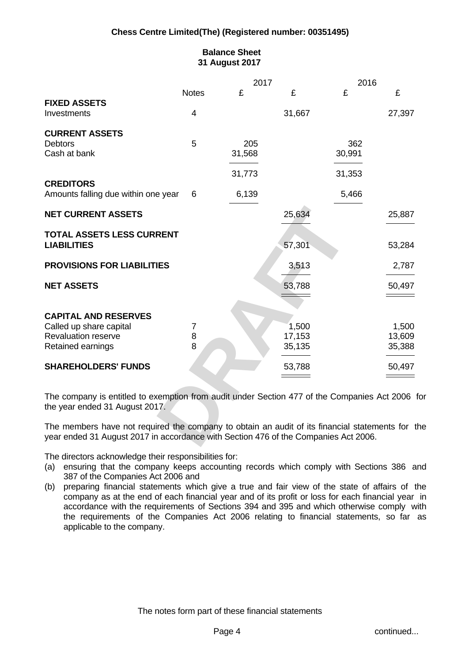# **Balance Sheet 31 August 2017**

|                                                                                                                                                                                         |              | 2017                     |                          | 2016                     |                                                                                                                                                                                                                                                                                                                                                                                                                         |
|-----------------------------------------------------------------------------------------------------------------------------------------------------------------------------------------|--------------|--------------------------|--------------------------|--------------------------|-------------------------------------------------------------------------------------------------------------------------------------------------------------------------------------------------------------------------------------------------------------------------------------------------------------------------------------------------------------------------------------------------------------------------|
|                                                                                                                                                                                         | <b>Notes</b> |                          |                          |                          |                                                                                                                                                                                                                                                                                                                                                                                                                         |
| <b>FIXED ASSETS</b>                                                                                                                                                                     |              |                          |                          |                          |                                                                                                                                                                                                                                                                                                                                                                                                                         |
| Investments                                                                                                                                                                             |              |                          | 31,667                   |                          | 27,397                                                                                                                                                                                                                                                                                                                                                                                                                  |
| <b>CURRENT ASSETS</b>                                                                                                                                                                   |              |                          |                          |                          |                                                                                                                                                                                                                                                                                                                                                                                                                         |
| <b>Debtors</b>                                                                                                                                                                          | 5            | 205                      |                          | 362                      |                                                                                                                                                                                                                                                                                                                                                                                                                         |
| Cash at bank                                                                                                                                                                            |              | 31,568                   |                          | 30,991                   |                                                                                                                                                                                                                                                                                                                                                                                                                         |
|                                                                                                                                                                                         |              | $\overline{\phantom{a}}$ |                          | $\overline{\phantom{a}}$ |                                                                                                                                                                                                                                                                                                                                                                                                                         |
|                                                                                                                                                                                         |              | 31,773                   |                          | 31,353                   |                                                                                                                                                                                                                                                                                                                                                                                                                         |
| <b>CREDITORS</b>                                                                                                                                                                        |              |                          |                          |                          |                                                                                                                                                                                                                                                                                                                                                                                                                         |
| Amounts falling due within one year 6                                                                                                                                                   |              | 6,139                    |                          | 5,466                    |                                                                                                                                                                                                                                                                                                                                                                                                                         |
|                                                                                                                                                                                         |              | _______                  |                          |                          |                                                                                                                                                                                                                                                                                                                                                                                                                         |
| <b>NET CURRENT ASSETS</b>                                                                                                                                                               |              |                          | 25,634                   |                          | 25,887                                                                                                                                                                                                                                                                                                                                                                                                                  |
|                                                                                                                                                                                         |              |                          |                          |                          |                                                                                                                                                                                                                                                                                                                                                                                                                         |
| TOTAL ASSETS LESS CURRENT<br><b>LIABILITIES</b>                                                                                                                                         |              |                          | 57,301                   |                          | 53,284                                                                                                                                                                                                                                                                                                                                                                                                                  |
|                                                                                                                                                                                         |              |                          |                          |                          |                                                                                                                                                                                                                                                                                                                                                                                                                         |
| <b>PROVISIONS FOR LIABILITIES</b>                                                                                                                                                       |              |                          |                          |                          | 2,787                                                                                                                                                                                                                                                                                                                                                                                                                   |
|                                                                                                                                                                                         |              |                          | 3,513                    |                          | $\frac{1}{2}$                                                                                                                                                                                                                                                                                                                                                                                                           |
| <b>NET ASSETS</b>                                                                                                                                                                       |              |                          | 53,788                   |                          | 50,497                                                                                                                                                                                                                                                                                                                                                                                                                  |
|                                                                                                                                                                                         |              |                          |                          |                          |                                                                                                                                                                                                                                                                                                                                                                                                                         |
|                                                                                                                                                                                         |              |                          |                          |                          |                                                                                                                                                                                                                                                                                                                                                                                                                         |
| <b>CAPITAL AND RESERVES</b>                                                                                                                                                             |              |                          |                          |                          |                                                                                                                                                                                                                                                                                                                                                                                                                         |
| Called up share capital                                                                                                                                                                 |              |                          | 1,500                    |                          | 1,500                                                                                                                                                                                                                                                                                                                                                                                                                   |
| Revaluation reserve                                                                                                                                                                     |              |                          | 17,153                   |                          | 13,609                                                                                                                                                                                                                                                                                                                                                                                                                  |
| Retained earnings                                                                                                                                                                       |              |                          | 35,135                   |                          | 35,388                                                                                                                                                                                                                                                                                                                                                                                                                  |
|                                                                                                                                                                                         |              |                          | $\overline{\phantom{a}}$ |                          | $\begin{tabular}{lcccccc} \multicolumn{2}{c }{\textbf{1} & \textbf{2} & \textbf{3} & \textbf{4} & \textbf{5} & \textbf{5} & \textbf{6} & \textbf{6} & \textbf{7} & \textbf{8} & \textbf{8} & \textbf{9} & \textbf{10} & \textbf{10} & \textbf{10} & \textbf{10} & \textbf{10} & \textbf{10} & \textbf{10} & \textbf{10} & \textbf{10} & \textbf{10} & \textbf{10} & \textbf{10} & \textbf{10} & \textbf{10} & \textbf{$ |
| <b>SHAREHOLDERS' FUNDS</b>                                                                                                                                                              |              |                          | 53,788                   |                          | 50,497                                                                                                                                                                                                                                                                                                                                                                                                                  |
|                                                                                                                                                                                         |              |                          | $\qquad \qquad =$        |                          | $\qquad \qquad =\qquad$                                                                                                                                                                                                                                                                                                                                                                                                 |
|                                                                                                                                                                                         |              |                          |                          |                          |                                                                                                                                                                                                                                                                                                                                                                                                                         |
| The company is entitled to exemption from audit under Section 477 of the Companies Act 2006 for                                                                                         |              |                          |                          |                          |                                                                                                                                                                                                                                                                                                                                                                                                                         |
| the year ended 31 August 2017.                                                                                                                                                          |              |                          |                          |                          |                                                                                                                                                                                                                                                                                                                                                                                                                         |
|                                                                                                                                                                                         |              |                          |                          |                          |                                                                                                                                                                                                                                                                                                                                                                                                                         |
| The members have not required the company to obtain an audit of its financial statements for the<br>year ended 31 August 2017 in accordance with Section 476 of the Companies Act 2006. |              |                          |                          |                          |                                                                                                                                                                                                                                                                                                                                                                                                                         |
|                                                                                                                                                                                         |              |                          |                          |                          |                                                                                                                                                                                                                                                                                                                                                                                                                         |

The directors acknowledge their responsibilities for:

- (a) ensuring that the company keeps accounting records which comply with Sections 386 and 387 of the Companies Act 2006 and
- (b) preparing financial statements which give a true and fair view of the state of affairs of the company as at the end of each financial year and of its profit or loss for each financial year in accordance with the requirements of Sections 394 and 395 and which otherwise comply with the requirements of the Companies Act 2006 relating to financial statements, so far as applicable to the company.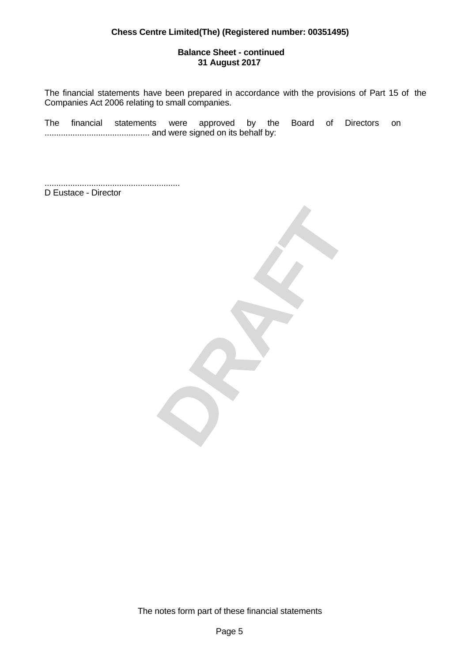## **Balance Sheet - continued 31 August 2017**

The financial statements have been prepared in accordance with the provisions of Part 15 of the Companies Act 2006 relating to small companies.

The financial statements were approved by the Board of Directors on ............................................. and were signed on its behalf by:

.......................................................... D Eustace - Director



The notes form part of these financial statements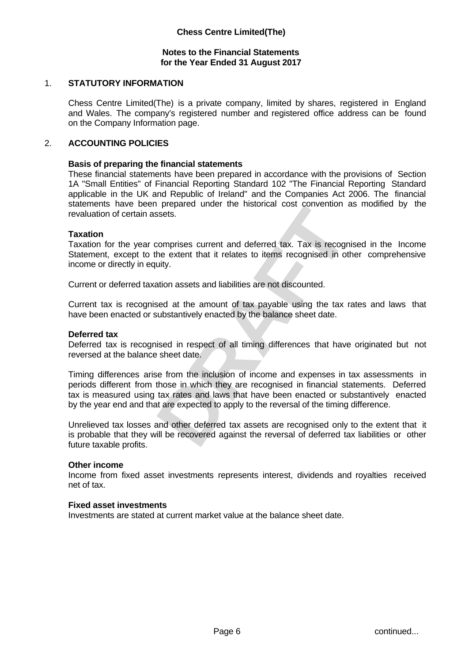## **Notes to the Financial Statements for the Year Ended 31 August 2017**

# 1. **STATUTORY INFORMATION**

Chess Centre Limited(The) is a private company, limited by shares, registered in England and Wales. The company's registered number and registered office address can be found on the Company Information page.

#### 2. **ACCOUNTING POLICIES**

#### **Basis of preparing the financial statements**

These financial statements have been prepared in accordance with the provisions of Section 1A "Small Entities" of Financial Reporting Standard 102 "The Financial Reporting Standard applicable in the UK and Republic of Ireland" and the Companies Act 2006. The financial statements have been prepared under the historical cost convention as modified by the revaluation of certain assets.

#### **Taxation**

Taxation for the year comprises current and deferred tax. Tax is recognised in the Income Statement, except to the extent that it relates to items recognised in other comprehensive income or directly in equity.

Current or deferred taxation assets and liabilities are not discounted.

Current tax is recognised at the amount of tax payable using the tax rates and laws that have been enacted or substantively enacted by the balance sheet date.

#### **Deferred tax**

Deferred tax is recognised in respect of all timing differences that have originated but not reversed at the balance sheet date.

reference under the instollation cost conveniuon as intoined by the<br>
persects.<br>
comprises current and deferred tax. Tax is recognised in the Income<br>
the extent that it relates to items recognised in other comprehensive<br>
ui Timing differences arise from the inclusion of income and expenses in tax assessments in periods different from those in which they are recognised in financial statements. Deferred tax is measured using tax rates and laws that have been enacted or substantively enacted by the year end and that are expected to apply to the reversal of the timing difference.

Unrelieved tax losses and other deferred tax assets are recognised only to the extent that it is probable that they will be recovered against the reversal of deferred tax liabilities or other future taxable profits.

#### **Other income**

Income from fixed asset investments represents interest, dividends and royalties received net of tax.

#### **Fixed asset investments**

Investments are stated at current market value at the balance sheet date.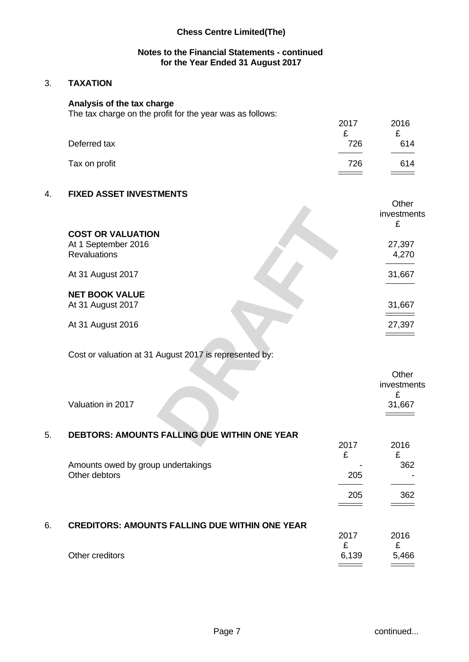## **Notes to the Financial Statements - continued for the Year Ended 31 August 2017**

# 3. **TAXATION**

#### **Analysis of the tax charge**

The tax charge on the profit for the year was as follows:

| The law plange on the profit for the year was as follows. |      |      |  |
|-----------------------------------------------------------|------|------|--|
|                                                           | 2017 | 2016 |  |
|                                                           |      |      |  |
| Deferred tax                                              | 726  | 614  |  |
|                                                           |      |      |  |
| Tax on profit                                             | 726  | 614  |  |
|                                                           |      |      |  |

# 4. **FIXED ASSET INVESTMENTS**

|                                                        | <b>UUIT</b>                                     |
|--------------------------------------------------------|-------------------------------------------------|
|                                                        | investments                                     |
|                                                        |                                                 |
| <b>COST OR VALUATION</b>                               |                                                 |
| At 1 September 2016                                    | 27,397                                          |
| Revaluations                                           | 4,270                                           |
|                                                        | the contract of the contract of                 |
| At 31 August 2017                                      | 31,667                                          |
|                                                        | the contract of the contract of the contract of |
| <b>NET BOOK VALUE</b>                                  |                                                 |
| At 31 August 2017                                      | 31,667                                          |
|                                                        | $\qquad \qquad \overbrace{\qquad \qquad }$      |
| At 31 August 2016                                      | 27,397                                          |
|                                                        | $\qquad \qquad =$                               |
|                                                        |                                                 |
| Cost or valuation at 31 August 2017 is represented by: |                                                 |
|                                                        |                                                 |
|                                                        | Other                                           |
|                                                        | investments                                     |
|                                                        |                                                 |
| Valuation in 2017                                      | 31,667                                          |
|                                                        | $\qquad \qquad =\qquad \qquad$                  |
|                                                        |                                                 |
| DEBTORS: AMOUNTS FALLING DUE WITHIN ONE YEAR           |                                                 |
|                                                        | 2016<br>2017                                    |

# Cost or valuation at 31 August 2017 is represented by:

| Valuation in 2017                                   | Other<br>investments<br>31,667 |
|-----------------------------------------------------|--------------------------------|
| <b>DEBTORS: AMOUNTS FALLING DUE WITHIN ONE YEAR</b> | 0017                           |
| 5.                                                  | 0.10                           |

|    |                                                       | 2017  | 2016  |
|----|-------------------------------------------------------|-------|-------|
|    |                                                       | £     |       |
|    | Amounts owed by group undertakings                    |       | 362   |
|    | Other debtors                                         | 205   |       |
|    |                                                       |       |       |
|    |                                                       | 205   | 362   |
|    |                                                       |       |       |
|    |                                                       |       |       |
| 6. | <b>CREDITORS: AMOUNTS FALLING DUE WITHIN ONE YEAR</b> |       |       |
|    |                                                       | 2017  | 2016  |
|    |                                                       | £     |       |
|    | Other creditors                                       | 6,139 | 5,466 |
|    |                                                       |       |       |

 $Q<sub>thor</sub>$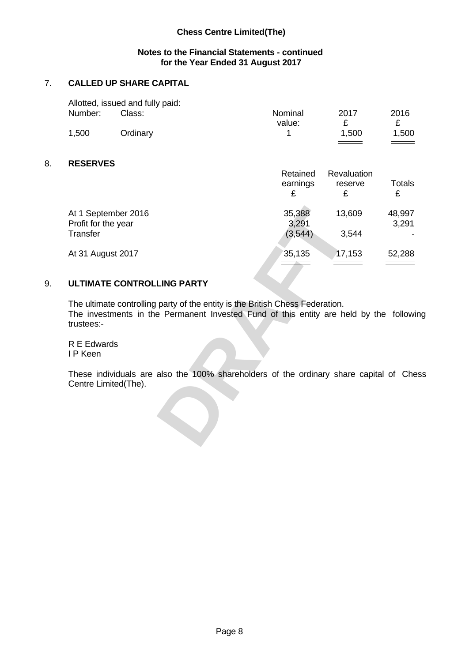# **Notes to the Financial Statements - continued for the Year Ended 31 August 2017**

# 7. **CALLED UP SHARE CAPITAL**

|         | Allotted, issued and fully paid: |         |       |                      |  |
|---------|----------------------------------|---------|-------|----------------------|--|
| Number: | Class:                           | Nominal | 2017  | 2016                 |  |
|         |                                  | value:  |       | -                    |  |
| 1,500   | Ordinary                         |         | 1,500 | .500                 |  |
|         |                                  |         |       | $\frac{1}{\sqrt{2}}$ |  |

# 8. **RESERVES**

|                                                                                         | Retained        | Revaluation                |        |
|-----------------------------------------------------------------------------------------|-----------------|----------------------------|--------|
|                                                                                         | earnings        | reserve                    | Totals |
|                                                                                         |                 |                            |        |
| At 1 September 2016                                                                     |                 | 13,609                     | 48,997 |
| Profit for the year                                                                     | 35,388<br>3,291 |                            | 3,291  |
| Transfer                                                                                | (3, 544)        | 3,544                      |        |
|                                                                                         |                 |                            |        |
| At 31 August 2017                                                                       | 35,135          | 17,153                     | 52,288 |
|                                                                                         | $\frac{1}{1}$   | $\equiv$ $\equiv$ $\equiv$ | ______ |
|                                                                                         |                 |                            |        |
| ULTIMATE CONTROLLING PARTY                                                              |                 |                            |        |
|                                                                                         |                 |                            |        |
| The ultimate controlling party of the entity is the British Chess Federation.           |                 |                            |        |
| The investments in the Permanent Invested Fund of this entity are held by the following |                 |                            |        |
| trustees:-                                                                              |                 |                            |        |
| R E Edwards                                                                             |                 |                            |        |
| I P Keen                                                                                |                 |                            |        |
|                                                                                         |                 |                            |        |
| These individuals are also the 100% shareholders of the ordinary share capital of Chess |                 |                            |        |
| Centre Limited(The).                                                                    |                 |                            |        |
|                                                                                         |                 |                            |        |
|                                                                                         |                 |                            |        |
|                                                                                         |                 |                            |        |
|                                                                                         |                 |                            |        |
|                                                                                         |                 |                            |        |
|                                                                                         |                 |                            |        |

# 9. **ULTIMATE CONTROLLING PARTY**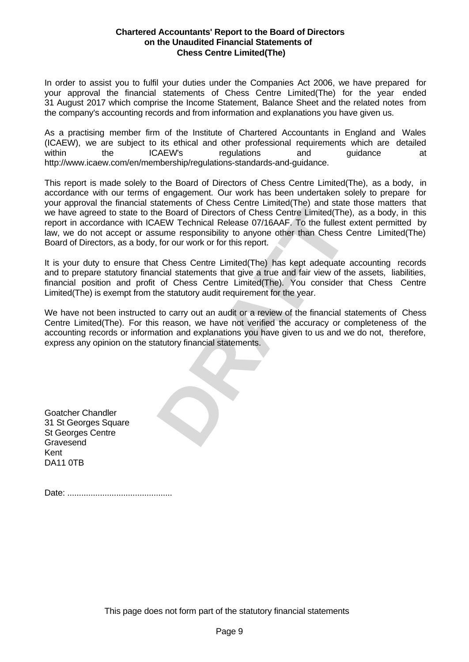#### **Chartered Accountants' Report to the Board of Directors on the Unaudited Financial Statements of Chess Centre Limited(The)**

In order to assist you to fulfil your duties under the Companies Act 2006, we have prepared for your approval the financial statements of Chess Centre Limited(The) for the year ended 31 August 2017 which comprise the Income Statement, Balance Sheet and the related notes from the company's accounting records and from information and explanations you have given us.

As a practising member firm of the Institute of Chartered Accountants in England and Wales (ICAEW), we are subject to its ethical and other professional requirements which are detailed within the ICAEW's regulations and guidance at http://www.icaew.com/en/membership/regulations-standards-and-guidance.

acknown or Unito Control Europhora Control Chief Board of Directors of Chess Centre Limited(The), as a body, in this AEW Technical Release 07/16AAF. To the fullest extent permitted by sume responsibility to anyone other th This report is made solely to the Board of Directors of Chess Centre Limited(The), as a body, in accordance with our terms of engagement. Our work has been undertaken solely to prepare for your approval the financial statements of Chess Centre Limited(The) and state those matters that we have agreed to state to the Board of Directors of Chess Centre Limited(The), as a body, in this report in accordance with ICAEW Technical Release 07/16AAF. To the fullest extent permitted by law, we do not accept or assume responsibility to anyone other than Chess Centre Limited(The) Board of Directors, as a body, for our work or for this report.

It is your duty to ensure that Chess Centre Limited(The) has kept adequate accounting records and to prepare statutory financial statements that give a true and fair view of the assets, liabilities, financial position and profit of Chess Centre Limited(The). You consider that Chess Centre Limited(The) is exempt from the statutory audit requirement for the year.

We have not been instructed to carry out an audit or a review of the financial statements of Chess Centre Limited(The). For this reason, we have not verified the accuracy or completeness of the accounting records or information and explanations you have given to us and we do not, therefore, express any opinion on the statutory financial statements.

Goatcher Chandler 31 St Georges Square St Georges Centre Gravesend Kent DA11 0TB

Date: .............................................